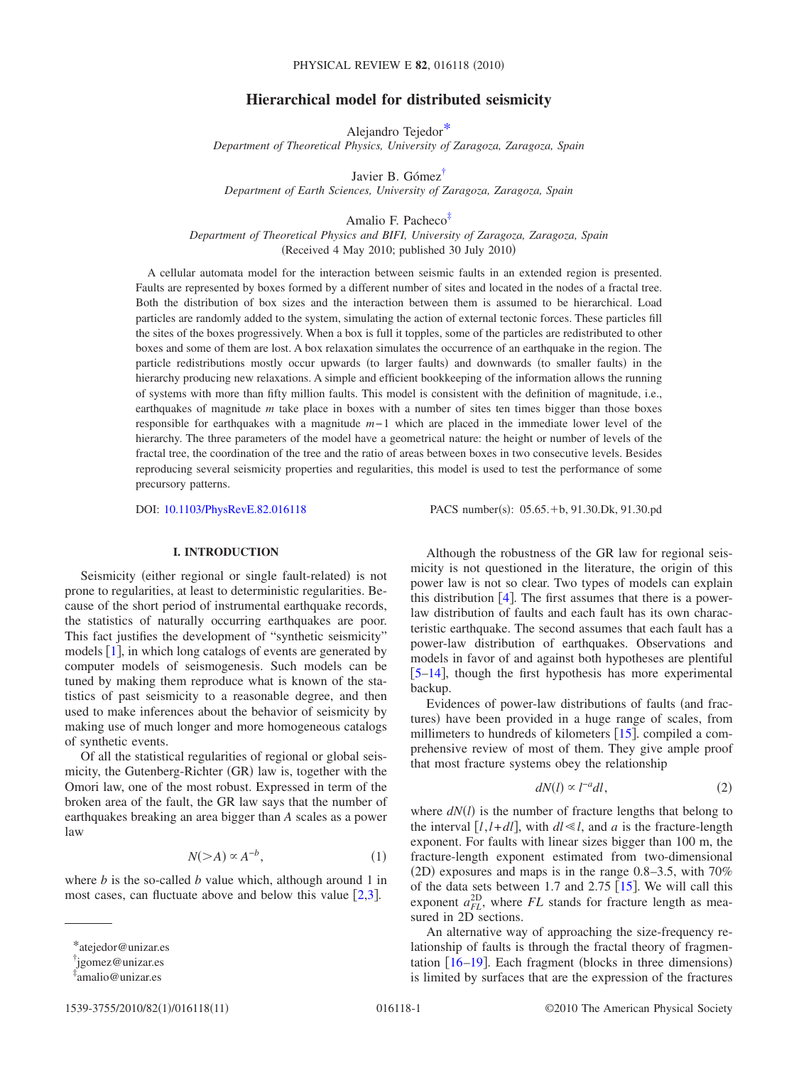# **Hierarchical model for distributed seismicity**

Alejandro Tejedo[r\\*](#page-0-0)

*Department of Theoretical Physics, University of Zaragoza, Zaragoza, Spain*

Javier B. Góme[z†](#page-0-1)

*Department of Earth Sciences, University of Zaragoza, Zaragoza, Spain*

Amalio F. Pachec[o‡](#page-0-2)

*Department of Theoretical Physics and BIFI, University of Zaragoza, Zaragoza, Spain* (Received 4 May 2010; published 30 July 2010)

A cellular automata model for the interaction between seismic faults in an extended region is presented. Faults are represented by boxes formed by a different number of sites and located in the nodes of a fractal tree. Both the distribution of box sizes and the interaction between them is assumed to be hierarchical. Load particles are randomly added to the system, simulating the action of external tectonic forces. These particles fill the sites of the boxes progressively. When a box is full it topples, some of the particles are redistributed to other boxes and some of them are lost. A box relaxation simulates the occurrence of an earthquake in the region. The particle redistributions mostly occur upwards (to larger faults) and downwards (to smaller faults) in the hierarchy producing new relaxations. A simple and efficient bookkeeping of the information allows the running of systems with more than fifty million faults. This model is consistent with the definition of magnitude, i.e., earthquakes of magnitude *m* take place in boxes with a number of sites ten times bigger than those boxes responsible for earthquakes with a magnitude *m*−1 which are placed in the immediate lower level of the hierarchy. The three parameters of the model have a geometrical nature: the height or number of levels of the fractal tree, the coordination of the tree and the ratio of areas between boxes in two consecutive levels. Besides reproducing several seismicity properties and regularities, this model is used to test the performance of some precursory patterns.

DOI: [10.1103/PhysRevE.82.016118](http://dx.doi.org/10.1103/PhysRevE.82.016118)

PACS number(s): 05.65. +b, 91.30.Dk, 91.30.pd

## **I. INTRODUCTION**

<span id="page-0-3"></span>Seismicity (either regional or single fault-related) is not prone to regularities, at least to deterministic regularities. Because of the short period of instrumental earthquake records, the statistics of naturally occurring earthquakes are poor. This fact justifies the development of "synthetic seismicity" models  $[1]$  $[1]$  $[1]$ , in which long catalogs of events are generated by computer models of seismogenesis. Such models can be tuned by making them reproduce what is known of the statistics of past seismicity to a reasonable degree, and then used to make inferences about the behavior of seismicity by making use of much longer and more homogeneous catalogs of synthetic events.

Of all the statistical regularities of regional or global seismicity, the Gutenberg-Richter (GR) law is, together with the Omori law, one of the most robust. Expressed in term of the broken area of the fault, the GR law says that the number of earthquakes breaking an area bigger than *A* scales as a power law

$$
N(>A) \propto A^{-b},\tag{1}
$$

<span id="page-0-5"></span>where *b* is the so-called *b* value which, although around 1 in most cases, can fluctuate above and below this value  $[2,3]$  $[2,3]$  $[2,3]$  $[2,3]$ .

Although the robustness of the GR law for regional seismicity is not questioned in the literature, the origin of this power law is not so clear. Two types of models can explain this distribution  $[4]$  $[4]$  $[4]$ . The first assumes that there is a powerlaw distribution of faults and each fault has its own characteristic earthquake. The second assumes that each fault has a power-law distribution of earthquakes. Observations and models in favor of and against both hypotheses are plentiful [5](#page-9-4)[–14](#page-9-5), though the first hypothesis has more experimental backup.

Evidences of power-law distributions of faults (and fractures) have been provided in a huge range of scales, from millimeters to hundreds of kilometers  $[15]$  $[15]$  $[15]$ . compiled a comprehensive review of most of them. They give ample proof that most fracture systems obey the relationship

$$
dN(l) \propto l^{-a}dl,\tag{2}
$$

<span id="page-0-4"></span>where  $dN(l)$  is the number of fracture lengths that belong to the interval  $[l, l+dl]$ , with  $dl \ll l$ , and *a* is the fracture-length exponent. For faults with linear sizes bigger than 100 m, the fracture-length exponent estimated from two-dimensional (2D) exposures and maps is in the range  $0.8-3.5$ , with  $70\%$ of the data sets between 1.7 and  $2.75$  [[15](#page-9-6)]. We will call this exponent  $a_{FL}^{2D}$ , where  $FL$  stands for fracture length as measured in 2D sections.

An alternative way of approaching the size-frequency relationship of faults is through the fractal theory of fragmentation  $[16–19]$  $[16–19]$  $[16–19]$  $[16–19]$ . Each fragment (blocks in three dimensions) is limited by surfaces that are the expression of the fractures

<span id="page-0-0"></span><sup>\*</sup>atejedor@unizar.es

<span id="page-0-1"></span><sup>†</sup> jgomez@unizar.es

<span id="page-0-2"></span><sup>‡</sup> amalio@unizar.es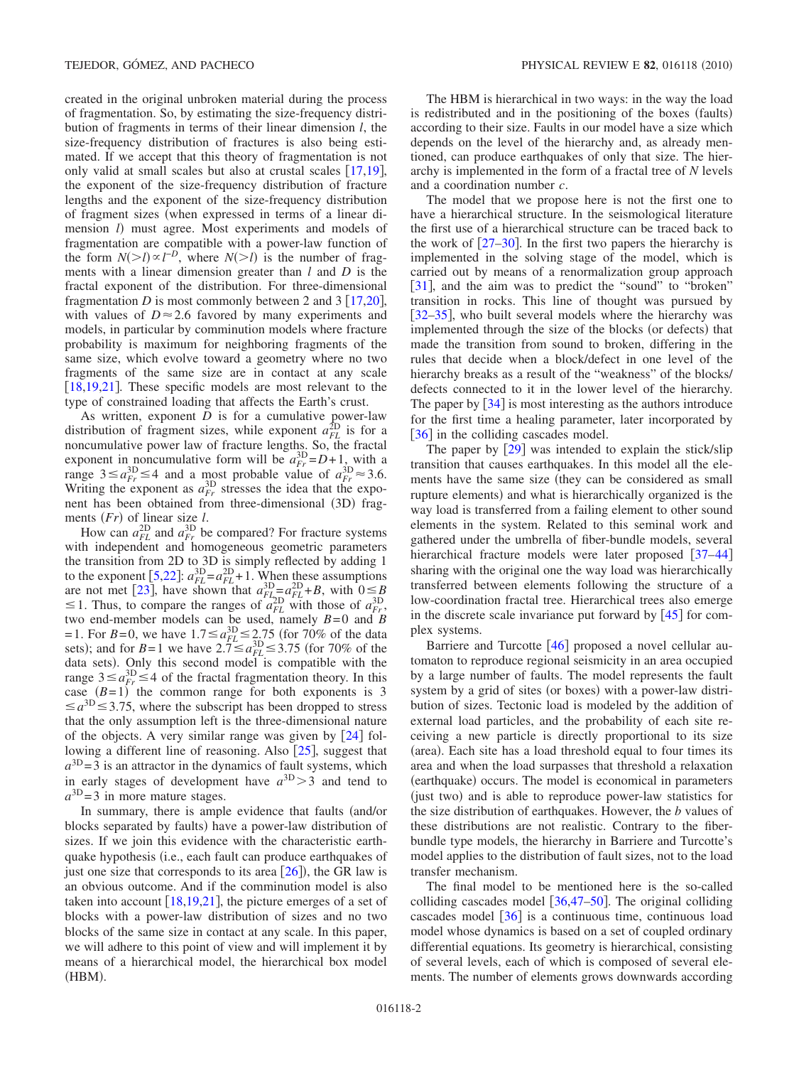created in the original unbroken material during the process of fragmentation. So, by estimating the size-frequency distribution of fragments in terms of their linear dimension *l*, the size-frequency distribution of fractures is also being estimated. If we accept that this theory of fragmentation is not only valid at small scales but also at crustal scales  $\lceil 17,19 \rceil$  $\lceil 17,19 \rceil$  $\lceil 17,19 \rceil$  $\lceil 17,19 \rceil$ , the exponent of the size-frequency distribution of fracture lengths and the exponent of the size-frequency distribution of fragment sizes (when expressed in terms of a linear dimension *l*) must agree. Most experiments and models of fragmentation are compatible with a power-law function of the form  $N(>l) \propto l^{-D}$ , where  $N(>l)$  is the number of fragments with a linear dimension greater than *l* and *D* is the fractal exponent of the distribution. For three-dimensional fragmentation *D* is most commonly between 2 and  $3 \lceil 17,20 \rceil$  $3 \lceil 17,20 \rceil$  $3 \lceil 17,20 \rceil$  $3 \lceil 17,20 \rceil$ , with values of  $D \approx 2.6$  favored by many experiments and models, in particular by comminution models where fracture probability is maximum for neighboring fragments of the same size, which evolve toward a geometry where no two fragments of the same size are in contact at any scale [[18](#page-9-11)[,19](#page-9-8)[,21](#page-9-12)]. These specific models are most relevant to the type of constrained loading that affects the Earth's crust.

As written, exponent *D* is for a cumulative power-law distribution of fragment sizes, while exponent  $a_{FL}^{\text{2D}}$  is for a noncumulative power law of fracture lengths. So, the fractal exponent in noncumulative form will be  $a_{Fr}^{3D} = D + 1$ , with a range  $3 \le a_{Fr}^{3D} \le 4$  and a most probable value of  $a_{Fr}^{3D} \approx 3.6$ . Writing the exponent as  $a_{Fr}^{3D}$  stresses the idea that the exponent has been obtained from three-dimensional (3D) fragments (*Fr*) of linear size *l*.

How can  $a_{FL}^{\text{2D}}$  and  $a_{Fr}^{\text{3D}}$  be compared? For fracture systems with independent and homogeneous geometric parameters the transition from 2D to 3D is simply reflected by adding 1 to the exponent  $[5,22]$  $[5,22]$  $[5,22]$  $[5,22]$ :  $a_{FL}^{3D} = a_{FL}^{2D} + 1$ . When these assumptions are not met [[23](#page-9-14)], have shown that  $a_{FL-D}^{3D} = a_{FL}^{2D} + B$ , with  $0 \leq B$  $\leq$  1. Thus, to compare the ranges of  $a_{FL}^{\text{2D}}$  with those of  $a_{Fr}^{\text{3D}}$ , two end-member models can be used, namely *B*=0 and *B* =1. For *B*=0, we have  $1.7 \le a_{FL}^{3D} \le 2.75$  (for 70% of the data sets); and for *B*=1 we have  $2.7 \le a_{FL}^{3D} \le 3.75$  (for 70% of the data sets). Only this second model is compatible with the range  $3 \le a_{Fr}^{3D} \le 4$  of the fractal fragmentation theory. In this case  $(B=1)$  the common range for both exponents is 3  $\leq a^{3D} \leq 3.75$ , where the subscript has been dropped to stress that the only assumption left is the three-dimensional nature of the objects. A very similar range was given by  $[24]$  $[24]$  $[24]$  following a different line of reasoning. Also  $[25]$  $[25]$  $[25]$ , suggest that  $a^{3D}$  = 3 is an attractor in the dynamics of fault systems, which in early stages of development have  $a^{3D} > 3$  and tend to  $a^{3D}$  = 3 in more mature stages.

In summary, there is ample evidence that faults (and/or blocks separated by faults) have a power-law distribution of sizes. If we join this evidence with the characteristic earthquake hypothesis (i.e., each fault can produce earthquakes of just one size that corresponds to its area  $[26]$  $[26]$  $[26]$ ), the GR law is an obvious outcome. And if the comminution model is also taken into account  $\left[18,19,21\right]$  $\left[18,19,21\right]$  $\left[18,19,21\right]$  $\left[18,19,21\right]$  $\left[18,19,21\right]$ , the picture emerges of a set of blocks with a power-law distribution of sizes and no two blocks of the same size in contact at any scale. In this paper, we will adhere to this point of view and will implement it by means of a hierarchical model, the hierarchical box model (HBM).

The HBM is hierarchical in two ways: in the way the load is redistributed and in the positioning of the boxes (faults) according to their size. Faults in our model have a size which depends on the level of the hierarchy and, as already mentioned, can produce earthquakes of only that size. The hierarchy is implemented in the form of a fractal tree of *N* levels and a coordination number *c*.

The model that we propose here is not the first one to have a hierarchical structure. In the seismological literature the first use of a hierarchical structure can be traced back to the work of  $\left[27-30\right]$  $\left[27-30\right]$  $\left[27-30\right]$ . In the first two papers the hierarchy is implemented in the solving stage of the model, which is carried out by means of a renormalization group approach [[31](#page-9-20)], and the aim was to predict the "sound" to "broken" transition in rocks. This line of thought was pursued by [[32](#page-9-21)[–35](#page-9-22)], who built several models where the hierarchy was implemented through the size of the blocks (or defects) that made the transition from sound to broken, differing in the rules that decide when a block/defect in one level of the hierarchy breaks as a result of the "weakness" of the blocks/ defects connected to it in the lower level of the hierarchy. The paper by  $[34]$  $[34]$  $[34]$  is most interesting as the authors introduce for the first time a healing parameter, later incorporated by [[36](#page-9-24)] in the colliding cascades model.

The paper by  $\lceil 29 \rceil$  $\lceil 29 \rceil$  $\lceil 29 \rceil$  was intended to explain the stick/slip transition that causes earthquakes. In this model all the elements have the same size (they can be considered as small rupture elements) and what is hierarchically organized is the way load is transferred from a failing element to other sound elements in the system. Related to this seminal work and gathered under the umbrella of fiber-bundle models, several hierarchical fracture models were later proposed  $\lceil 37-44 \rceil$  $\lceil 37-44 \rceil$  $\lceil 37-44 \rceil$ sharing with the original one the way load was hierarchically transferred between elements following the structure of a low-coordination fractal tree. Hierarchical trees also emerge in the discrete scale invariance put forward by  $[45]$  $[45]$  $[45]$  for complex systems.

Barriere and Turcotte  $[46]$  $[46]$  $[46]$  proposed a novel cellular automaton to reproduce regional seismicity in an area occupied by a large number of faults. The model represents the fault system by a grid of sites (or boxes) with a power-law distribution of sizes. Tectonic load is modeled by the addition of external load particles, and the probability of each site receiving a new particle is directly proportional to its size (area). Each site has a load threshold equal to four times its area and when the load surpasses that threshold a relaxation (earthquake) occurs. The model is economical in parameters (just two) and is able to reproduce power-law statistics for the size distribution of earthquakes. However, the *b* values of these distributions are not realistic. Contrary to the fiberbundle type models, the hierarchy in Barriere and Turcotte's model applies to the distribution of fault sizes, not to the load transfer mechanism.

The final model to be mentioned here is the so-called colliding cascades model  $[36,47-50]$  $[36,47-50]$  $[36,47-50]$  $[36,47-50]$  $[36,47-50]$ . The original colliding cascades model  $\lceil 36 \rceil$  $\lceil 36 \rceil$  $\lceil 36 \rceil$  is a continuous time, continuous load model whose dynamics is based on a set of coupled ordinary differential equations. Its geometry is hierarchical, consisting of several levels, each of which is composed of several elements. The number of elements grows downwards according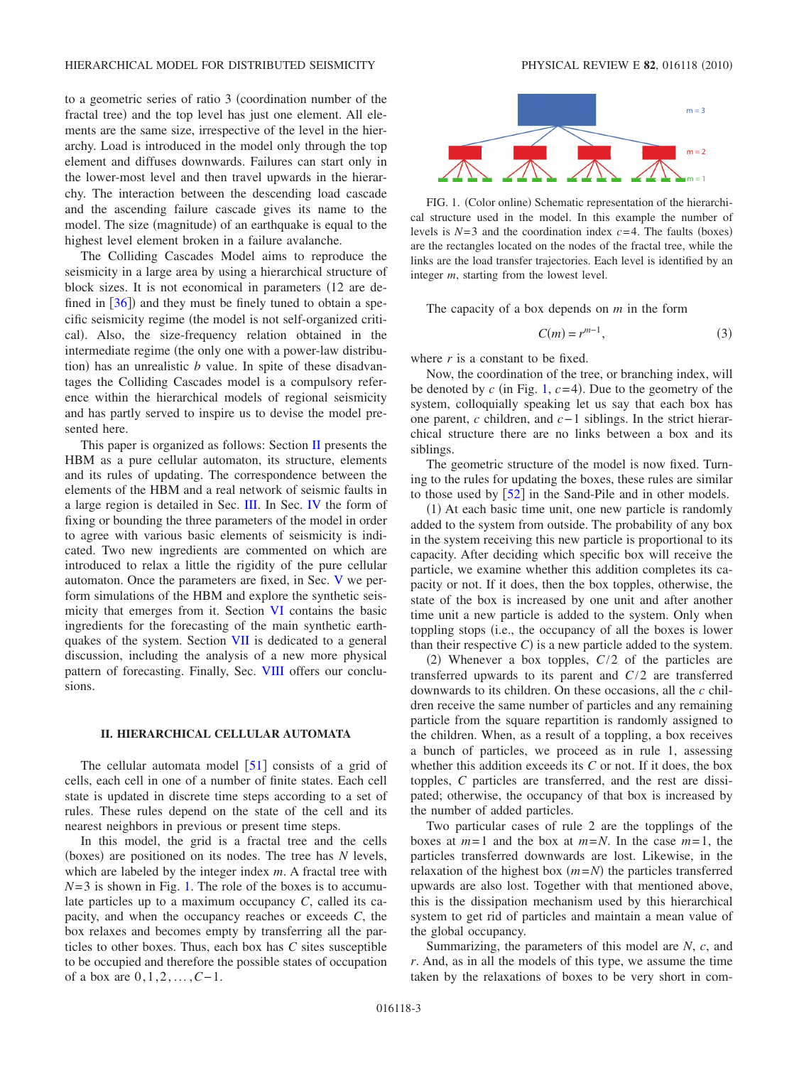to a geometric series of ratio 3 (coordination number of the fractal tree) and the top level has just one element. All elements are the same size, irrespective of the level in the hierarchy. Load is introduced in the model only through the top element and diffuses downwards. Failures can start only in the lower-most level and then travel upwards in the hierarchy. The interaction between the descending load cascade and the ascending failure cascade gives its name to the model. The size (magnitude) of an earthquake is equal to the highest level element broken in a failure avalanche.

The Colliding Cascades Model aims to reproduce the seismicity in a large area by using a hierarchical structure of block sizes. It is not economical in parameters (12 are defined in  $[36]$  $[36]$  $[36]$  and they must be finely tuned to obtain a specific seismicity regime (the model is not self-organized critical). Also, the size-frequency relation obtained in the intermediate regime (the only one with a power-law distribution) has an unrealistic  $b$  value. In spite of these disadvantages the Colliding Cascades model is a compulsory reference within the hierarchical models of regional seismicity and has partly served to inspire us to devise the model presented here.

This paper is organized as follows: Section [II](#page-2-0) presents the HBM as a pure cellular automaton, its structure, elements and its rules of updating. The correspondence between the elements of the HBM and a real network of seismic faults in a large region is detailed in Sec. [III.](#page-3-0) In Sec. [IV](#page-4-0) the form of fixing or bounding the three parameters of the model in order to agree with various basic elements of seismicity is indicated. Two new ingredients are commented on which are introduced to relax a little the rigidity of the pure cellular automaton. Once the parameters are fixed, in Sec. [V](#page-4-1) we perform simulations of the HBM and explore the synthetic seismicity that emerges from it. Section [VI](#page-6-0) contains the basic ingredients for the forecasting of the main synthetic earthquakes of the system. Section [VII](#page-6-1) is dedicated to a general discussion, including the analysis of a new more physical pattern of forecasting. Finally, Sec. [VIII](#page-8-0) offers our conclusions.

### **II. HIERARCHICAL CELLULAR AUTOMATA**

<span id="page-2-0"></span>The cellular automata model  $\lceil 51 \rceil$  $\lceil 51 \rceil$  $\lceil 51 \rceil$  consists of a grid of cells, each cell in one of a number of finite states. Each cell state is updated in discrete time steps according to a set of rules. These rules depend on the state of the cell and its nearest neighbors in previous or present time steps.

In this model, the grid is a fractal tree and the cells (boxes) are positioned on its nodes. The tree has *N* levels, which are labeled by the integer index *m*. A fractal tree with  $N=3$  is shown in Fig. [1.](#page-2-1) The role of the boxes is to accumulate particles up to a maximum occupancy *C*, called its capacity, and when the occupancy reaches or exceeds *C*, the box relaxes and becomes empty by transferring all the particles to other boxes. Thus, each box has *C* sites susceptible to be occupied and therefore the possible states of occupation of a box are 0,1,2, ... ,*C*−1.

<span id="page-2-1"></span>

FIG. 1. (Color online) Schematic representation of the hierarchical structure used in the model. In this example the number of levels is  $N=3$  and the coordination index  $c=4$ . The faults (boxes) are the rectangles located on the nodes of the fractal tree, while the links are the load transfer trajectories. Each level is identified by an integer *m*, starting from the lowest level.

<span id="page-2-2"></span>The capacity of a box depends on *m* in the form

$$
C(m) = r^{m-1},\tag{3}
$$

where *r* is a constant to be fixed.

Now, the coordination of the tree, or branching index, will be denoted by  $c$  (in Fig. [1,](#page-2-1)  $c=4$ ). Due to the geometry of the system, colloquially speaking let us say that each box has one parent, *c* children, and *c*−1 siblings. In the strict hierarchical structure there are no links between a box and its siblings.

The geometric structure of the model is now fixed. Turning to the rules for updating the boxes, these rules are similar to those used by  $\lceil 52 \rceil$  $\lceil 52 \rceil$  $\lceil 52 \rceil$  in the Sand-Pile and in other models.

(1) At each basic time unit, one new particle is randomly added to the system from outside. The probability of any box in the system receiving this new particle is proportional to its capacity. After deciding which specific box will receive the particle, we examine whether this addition completes its capacity or not. If it does, then the box topples, otherwise, the state of the box is increased by one unit and after another time unit a new particle is added to the system. Only when toppling stops (i.e., the occupancy of all the boxes is lower than their respective  $C$ ) is a new particle added to the system.

 $(2)$  Whenever a box topples,  $C/2$  of the particles are transferred upwards to its parent and *C*/2 are transferred downwards to its children. On these occasions, all the *c* children receive the same number of particles and any remaining particle from the square repartition is randomly assigned to the children. When, as a result of a toppling, a box receives a bunch of particles, we proceed as in rule 1, assessing whether this addition exceeds its *C* or not. If it does, the box topples, *C* particles are transferred, and the rest are dissipated; otherwise, the occupancy of that box is increased by the number of added particles.

Two particular cases of rule 2 are the topplings of the boxes at  $m=1$  and the box at  $m=N$ . In the case  $m=1$ , the particles transferred downwards are lost. Likewise, in the relaxation of the highest box  $(m=N)$  the particles transferred upwards are also lost. Together with that mentioned above, this is the dissipation mechanism used by this hierarchical system to get rid of particles and maintain a mean value of the global occupancy.

Summarizing, the parameters of this model are *N*, *c*, and *r*. And, as in all the models of this type, we assume the time taken by the relaxations of boxes to be very short in com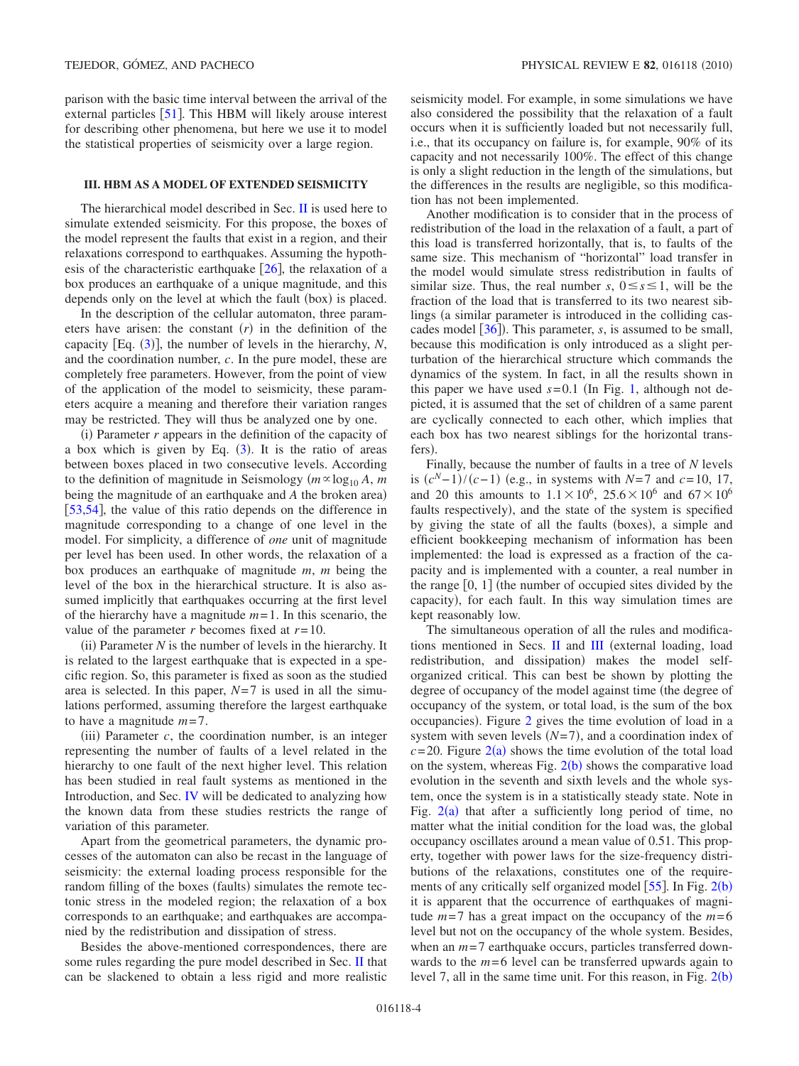parison with the basic time interval between the arrival of the external particles  $[51]$  $[51]$  $[51]$ . This HBM will likely arouse interest for describing other phenomena, but here we use it to model the statistical properties of seismicity over a large region.

## <span id="page-3-0"></span>**III. HBM AS A MODEL OF EXTENDED SEISMICITY**

The hierarchical model described in Sec. [II](#page-2-0) is used here to simulate extended seismicity. For this propose, the boxes of the model represent the faults that exist in a region, and their relaxations correspond to earthquakes. Assuming the hypothesis of the characteristic earthquake  $[26]$  $[26]$  $[26]$ , the relaxation of a box produces an earthquake of a unique magnitude, and this depends only on the level at which the fault (box) is placed.

In the description of the cellular automaton, three parameters have arisen: the constant  $(r)$  in the definition of the capacity [Eq.  $(3)$  $(3)$  $(3)$ ], the number of levels in the hierarchy, *N*, and the coordination number, *c*. In the pure model, these are completely free parameters. However, from the point of view of the application of the model to seismicity, these parameters acquire a meaning and therefore their variation ranges may be restricted. They will thus be analyzed one by one.

 $(i)$  Parameter  $r$  appears in the definition of the capacity of a box which is given by Eq.  $(3)$  $(3)$  $(3)$ . It is the ratio of areas between boxes placed in two consecutive levels. According to the definition of magnitude in Seismology  $(m \propto \log_{10} A, m$ being the magnitude of an earthquake and *A* the broken area) [[53](#page-10-0)[,54](#page-10-1)], the value of this ratio depends on the difference in magnitude corresponding to a change of one level in the model. For simplicity, a difference of *one* unit of magnitude per level has been used. In other words, the relaxation of a box produces an earthquake of magnitude *m*, *m* being the level of the box in the hierarchical structure. It is also assumed implicitly that earthquakes occurring at the first level of the hierarchy have a magnitude *m*=1. In this scenario, the value of the parameter *r* becomes fixed at *r*=10.

(ii) Parameter  $N$  is the number of levels in the hierarchy. It is related to the largest earthquake that is expected in a specific region. So, this parameter is fixed as soon as the studied area is selected. In this paper, *N*=7 is used in all the simulations performed, assuming therefore the largest earthquake to have a magnitude *m*=7.

(iii) Parameter  $c$ , the coordination number, is an integer representing the number of faults of a level related in the hierarchy to one fault of the next higher level. This relation has been studied in real fault systems as mentioned in the Introduction, and Sec. [IV](#page-4-0) will be dedicated to analyzing how the known data from these studies restricts the range of variation of this parameter.

Apart from the geometrical parameters, the dynamic processes of the automaton can also be recast in the language of seismicity: the external loading process responsible for the random filling of the boxes (faults) simulates the remote tectonic stress in the modeled region; the relaxation of a box corresponds to an earthquake; and earthquakes are accompanied by the redistribution and dissipation of stress.

Besides the above-mentioned correspondences, there are some rules regarding the pure model described in Sec. [II](#page-2-0) that can be slackened to obtain a less rigid and more realistic seismicity model. For example, in some simulations we have also considered the possibility that the relaxation of a fault occurs when it is sufficiently loaded but not necessarily full, i.e., that its occupancy on failure is, for example, 90% of its capacity and not necessarily 100%. The effect of this change is only a slight reduction in the length of the simulations, but the differences in the results are negligible, so this modification has not been implemented.

Another modification is to consider that in the process of redistribution of the load in the relaxation of a fault, a part of this load is transferred horizontally, that is, to faults of the same size. This mechanism of "horizontal" load transfer in the model would simulate stress redistribution in faults of similar size. Thus, the real number *s*,  $0 \le s \le 1$ , will be the fraction of the load that is transferred to its two nearest siblings (a similar parameter is introduced in the colliding cas-cades model [[36](#page-9-24)]). This parameter, *s*, is assumed to be small, because this modification is only introduced as a slight perturbation of the hierarchical structure which commands the dynamics of the system. In fact, in all the results shown in this paper we have used  $s=0.1$  (In Fig. [1,](#page-2-1) although not depicted, it is assumed that the set of children of a same parent are cyclically connected to each other, which implies that each box has two nearest siblings for the horizontal transfers).

Finally, because the number of faults in a tree of *N* levels is  $(c^N-1)/(c-1)$  (e.g., in systems with *N*=7 and  $c=10, 17$ , and 20 this amounts to  $1.1 \times 10^6$ ,  $25.6 \times 10^6$  and  $67 \times 10^6$ faults respectively), and the state of the system is specified by giving the state of all the faults (boxes), a simple and efficient bookkeeping mechanism of information has been implemented: the load is expressed as a fraction of the capacity and is implemented with a counter, a real number in the range  $[0, 1]$  (the number of occupied sites divided by the capacity), for each fault. In this way simulation times are kept reasonably low.

The simultaneous operation of all the rules and modifications mentioned in Secs.  $II$  and  $III$  (external loading, load redistribution, and dissipation) makes the model selforganized critical. This can best be shown by plotting the degree of occupancy of the model against time (the degree of occupancy of the system, or total load, is the sum of the box occupancies). Figure [2](#page-4-2) gives the time evolution of load in a system with seven levels  $(N=7)$ , and a coordination index of  $c = 20$  $c = 20$  $c = 20$ . Figure  $2(a)$  shows the time evolution of the total load on the system, whereas Fig.  $2(b)$  $2(b)$  shows the comparative load evolution in the seventh and sixth levels and the whole system, once the system is in a statistically steady state. Note in Fig.  $2(a)$  $2(a)$  that after a sufficiently long period of time, no matter what the initial condition for the load was, the global occupancy oscillates around a mean value of 0.51. This property, together with power laws for the size-frequency distributions of the relaxations, constitutes one of the requirements of any critically self organized model  $[55]$  $[55]$  $[55]$ . In Fig.  $2(b)$  $2(b)$ it is apparent that the occurrence of earthquakes of magnitude  $m=7$  has a great impact on the occupancy of the  $m=6$ level but not on the occupancy of the whole system. Besides, when an  $m=7$  earthquake occurs, particles transferred downwards to the *m*=6 level can be transferred upwards again to level 7, all in the same time unit. For this reason, in Fig.  $2(b)$  $2(b)$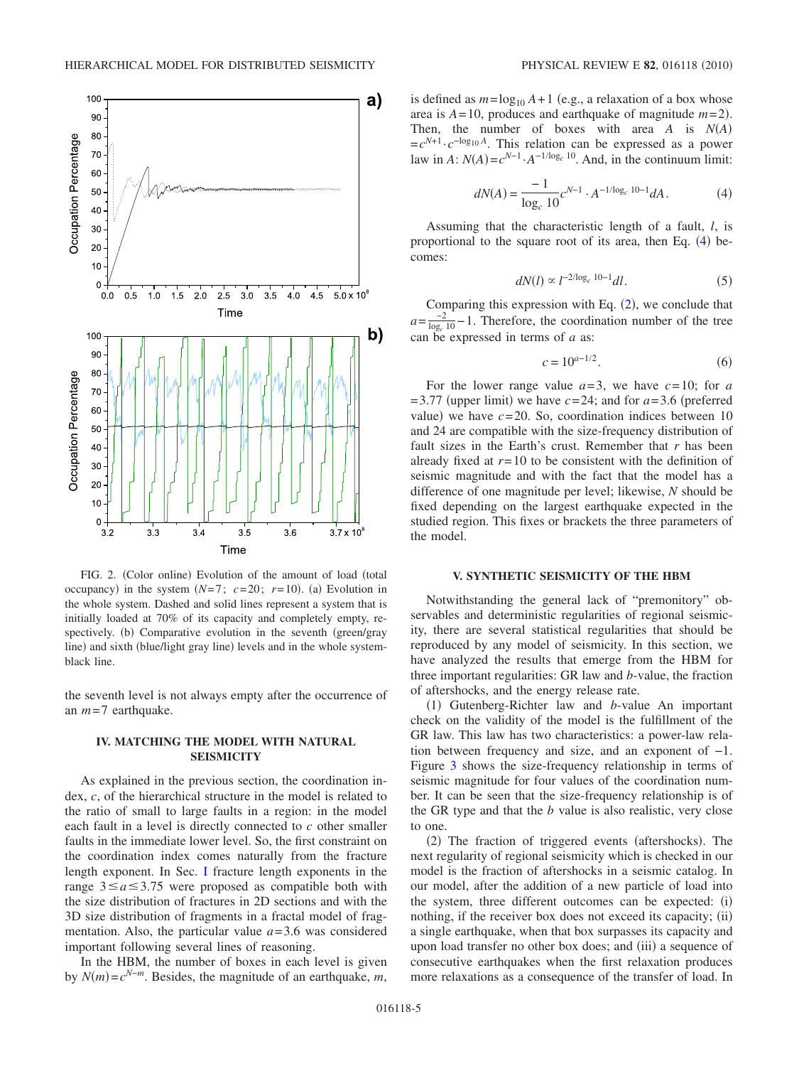<span id="page-4-2"></span>

FIG. 2. (Color online) Evolution of the amount of load (total occupancy) in the system  $(N=7; c=20; r=10)$ . (a) Evolution in the whole system. Dashed and solid lines represent a system that is initially loaded at 70% of its capacity and completely empty, respectively. (b) Comparative evolution in the seventh (green/gray line) and sixth (blue/light gray line) levels and in the whole systemblack line.

the seventh level is not always empty after the occurrence of an *m*=7 earthquake.

## <span id="page-4-0"></span>**IV. MATCHING THE MODEL WITH NATURAL SEISMICITY**

As explained in the previous section, the coordination index, *c*, of the hierarchical structure in the model is related to the ratio of small to large faults in a region: in the model each fault in a level is directly connected to *c* other smaller faults in the immediate lower level. So, the first constraint on the coordination index comes naturally from the fracture length exponent. In Sec. [I](#page-0-3) fracture length exponents in the range  $3 \le a \le 3.75$  were proposed as compatible both with the size distribution of fractures in 2D sections and with the 3D size distribution of fragments in a fractal model of fragmentation. Also, the particular value *a*=3.6 was considered important following several lines of reasoning.

In the HBM, the number of boxes in each level is given by  $N(m) = c^{N-m}$ . Besides, the magnitude of an earthquake, *m*,

is defined as  $m = \log_{10} A + 1$  (e.g., a relaxation of a box whose area is  $A = 10$ , produces and earthquake of magnitude  $m = 2$ ). Then, the number of boxes with area *A* is *NA*-  $=c^{N+1} \cdot c^{-\log_{10} A}$ . This relation can be expressed as a power law in  $A: N(A) = c^{N-1} \cdot A^{-1/\log_c 10}$ . And, in the continuum limit:

$$
dN(A) = \frac{-1}{\log_c 10} c^{N-1} \cdot A^{-1/\log_c 10 - 1} dA. \tag{4}
$$

<span id="page-4-3"></span>Assuming that the characteristic length of a fault, *l*, is proportional to the square root of its area, then Eq.  $(4)$  $(4)$  $(4)$  becomes:

$$
dN(l) \propto l^{-2/\log_c 10 - 1} dl. \tag{5}
$$

Comparing this expression with Eq.  $(2)$  $(2)$  $(2)$ , we conclude that  $a=\frac{-2}{\log_c 10}-1$ . Therefore, the coordination number of the tree can be expressed in terms of *a* as:

$$
c = 10^{a-1/2}.\t\t(6)
$$

For the lower range value  $a=3$ , we have  $c=10$ ; for  $a$  $=$  3.77 (upper limit) we have  $c=24$ ; and for  $a=3.6$  (preferred value) we have  $c = 20$ . So, coordination indices between 10 and 24 are compatible with the size-frequency distribution of fault sizes in the Earth's crust. Remember that *r* has been already fixed at  $r=10$  to be consistent with the definition of seismic magnitude and with the fact that the model has a difference of one magnitude per level; likewise, *N* should be fixed depending on the largest earthquake expected in the studied region. This fixes or brackets the three parameters of the model.

#### **V. SYNTHETIC SEISMICITY OF THE HBM**

<span id="page-4-1"></span>Notwithstanding the general lack of "premonitory" observables and deterministic regularities of regional seismicity, there are several statistical regularities that should be reproduced by any model of seismicity. In this section, we have analyzed the results that emerge from the HBM for three important regularities: GR law and *b*-value, the fraction of aftershocks, and the energy release rate.

(1) Gutenberg-Richter law and *b*-value An important check on the validity of the model is the fulfillment of the GR law. This law has two characteristics: a power-law relation between frequency and size, and an exponent of −1. Figure [3](#page-5-0) shows the size-frequency relationship in terms of seismic magnitude for four values of the coordination number. It can be seen that the size-frequency relationship is of the GR type and that the *b* value is also realistic, very close to one.

(2) The fraction of triggered events (aftershocks). The next regularity of regional seismicity which is checked in our model is the fraction of aftershocks in a seismic catalog. In our model, after the addition of a new particle of load into the system, three different outcomes can be expected: (i) nothing, if the receiver box does not exceed its capacity; (ii) a single earthquake, when that box surpasses its capacity and upon load transfer no other box does; and (iii) a sequence of consecutive earthquakes when the first relaxation produces more relaxations as a consequence of the transfer of load. In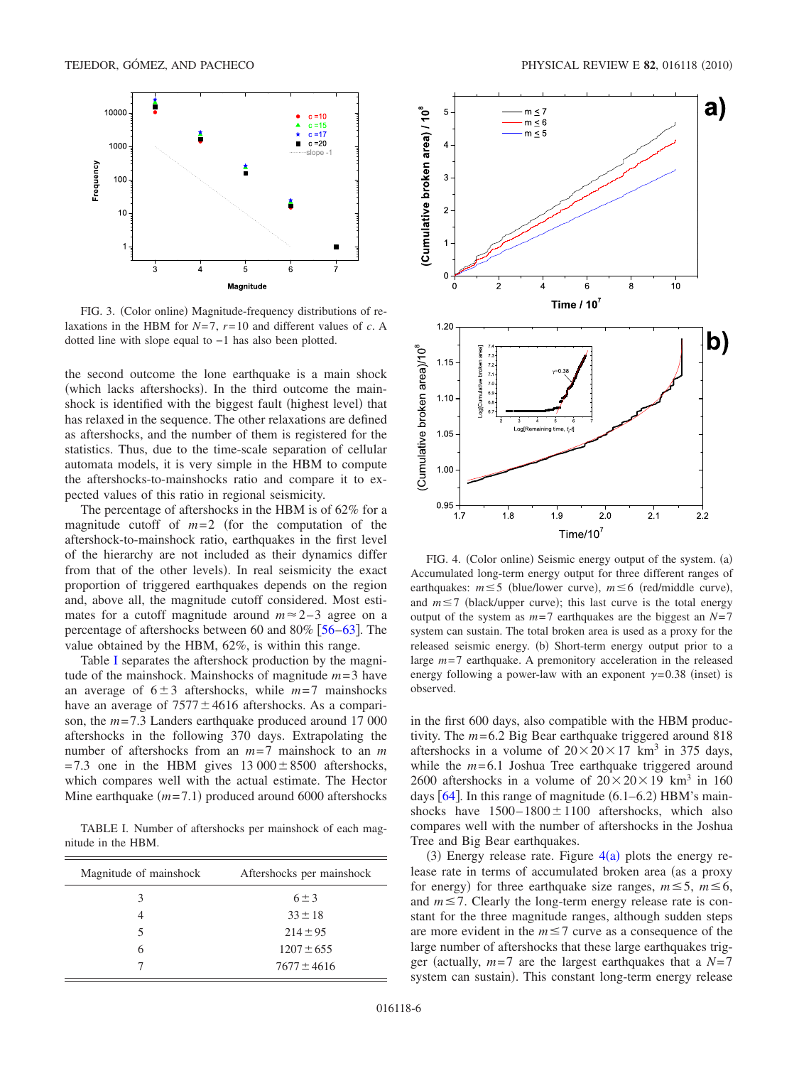<span id="page-5-0"></span>

FIG. 3. (Color online) Magnitude-frequency distributions of relaxations in the HBM for *N*=7, *r*=10 and different values of *c*. A dotted line with slope equal to −1 has also been plotted.

the second outcome the lone earthquake is a main shock (which lacks aftershocks). In the third outcome the mainshock is identified with the biggest fault (highest level) that has relaxed in the sequence. The other relaxations are defined as aftershocks, and the number of them is registered for the statistics. Thus, due to the time-scale separation of cellular automata models, it is very simple in the HBM to compute the aftershocks-to-mainshocks ratio and compare it to expected values of this ratio in regional seismicity.

The percentage of aftershocks in the HBM is of 62% for a magnitude cutoff of  $m=2$  (for the computation of the aftershock-to-mainshock ratio, earthquakes in the first level of the hierarchy are not included as their dynamics differ from that of the other levels). In real seismicity the exact proportion of triggered earthquakes depends on the region and, above all, the magnitude cutoff considered. Most estimates for a cutoff magnitude around  $m \approx 2-3$  agree on a percentage of aftershocks between 60 and 80%  $\lceil 56-63 \rceil$  $\lceil 56-63 \rceil$  $\lceil 56-63 \rceil$ . The value obtained by the HBM, 62%, is within this range.

Table [I](#page-5-1) separates the aftershock production by the magnitude of the mainshock. Mainshocks of magnitude *m*=3 have an average of  $6\pm 3$  aftershocks, while  $m=7$  mainshocks have an average of  $7577 \pm 4616$  aftershocks. As a comparison, the *m*=7.3 Landers earthquake produced around 17 000 aftershocks in the following 370 days. Extrapolating the number of aftershocks from an *m*=7 mainshock to an *m*  $=7.3$  one in the HBM gives  $13\,000 \pm 8500$  aftershocks, which compares well with the actual estimate. The Hector Mine earthquake  $(m=7.1)$  produced around 6000 aftershocks

<span id="page-5-1"></span>TABLE I. Number of aftershocks per mainshock of each magnitude in the HBM.

| Magnitude of mainshock | Aftershocks per mainshock |
|------------------------|---------------------------|
| 3                      | $6 + 3$                   |
| 4                      | $33 \pm 18$               |
| 5                      | $214 \pm 95$              |
| 6                      | $1207 \pm 655$            |
|                        | $7677 \pm 4616$           |

<span id="page-5-2"></span>

FIG. 4. (Color online) Seismic energy output of the system. (a) Accumulated long-term energy output for three different ranges of earthquakes:  $m \leq 5$  (blue/lower curve),  $m \leq 6$  (red/middle curve), and  $m \le 7$  (black/upper curve); this last curve is the total energy output of the system as *m*=7 earthquakes are the biggest an *N*=7 system can sustain. The total broken area is used as a proxy for the released seismic energy. (b) Short-term energy output prior to a large  $m=7$  earthquake. A premonitory acceleration in the released energy following a power-law with an exponent  $\gamma = 0.38$  (inset) is observed.

in the first 600 days, also compatible with the HBM productivity. The *m*=6.2 Big Bear earthquake triggered around 818 aftershocks in a volume of  $20 \times 20 \times 17$  km<sup>3</sup> in 375 days, while the  $m=6.1$  Joshua Tree earthquake triggered around 2600 aftershocks in a volume of  $20 \times 20 \times 19$  km<sup>3</sup> in 160 days  $[64]$  $[64]$  $[64]$ . In this range of magnitude  $(6.1-6.2)$  HBM's mainshocks have  $1500-1800 \pm 1100$  aftershocks, which also compares well with the number of aftershocks in the Joshua Tree and Big Bear earthquakes.

(3) Energy release rate. Figure  $4(a)$  $4(a)$  plots the energy release rate in terms of accumulated broken area (as a proxy for energy) for three earthquake size ranges,  $m \le 5$ ,  $m \le 6$ , and  $m \le 7$ . Clearly the long-term energy release rate is constant for the three magnitude ranges, although sudden steps are more evident in the  $m \le 7$  curve as a consequence of the large number of aftershocks that these large earthquakes trigger (actually,  $m=7$  are the largest earthquakes that a  $N=7$ system can sustain). This constant long-term energy release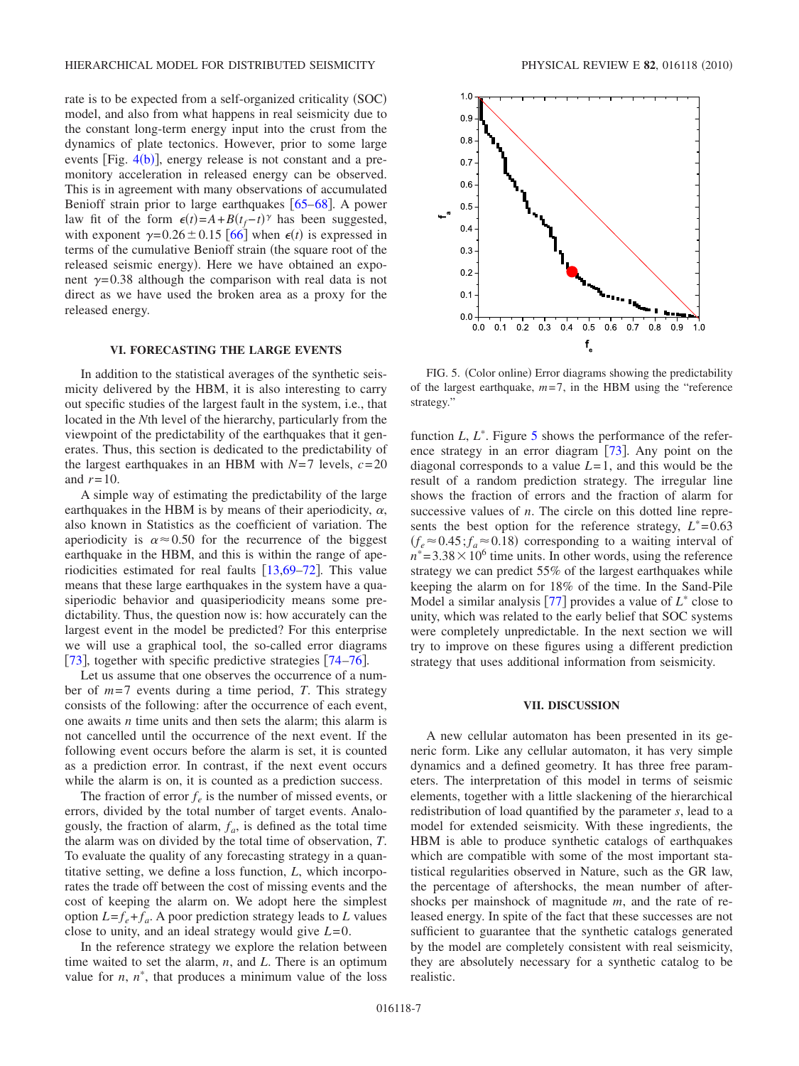rate is to be expected from a self-organized criticality (SOC) model, and also from what happens in real seismicity due to the constant long-term energy input into the crust from the dynamics of plate tectonics. However, prior to some large events  $[Fig. 4(b)]$  $[Fig. 4(b)]$  $[Fig. 4(b)]$ , energy release is not constant and a premonitory acceleration in released energy can be observed. This is in agreement with many observations of accumulated Benioff strain prior to large earthquakes  $[65–68]$  $[65–68]$  $[65–68]$  $[65–68]$ . A power law fit of the form  $\epsilon(t) = A + B(t_f - t)$ <sup> $\gamma$ </sup> has been suggested, with exponent  $\gamma = 0.26 \pm 0.15$  [[66](#page-10-8)] when  $\epsilon(t)$  is expressed in terms of the cumulative Benioff strain (the square root of the released seismic energy). Here we have obtained an exponent  $\gamma$ =0.38 although the comparison with real data is not direct as we have used the broken area as a proxy for the released energy.

## **VI. FORECASTING THE LARGE EVENTS**

<span id="page-6-0"></span>In addition to the statistical averages of the synthetic seismicity delivered by the HBM, it is also interesting to carry out specific studies of the largest fault in the system, i.e., that located in the *N*th level of the hierarchy, particularly from the viewpoint of the predictability of the earthquakes that it generates. Thus, this section is dedicated to the predictability of the largest earthquakes in an HBM with  $N=7$  levels,  $c=20$ and  $r=10$ .

A simple way of estimating the predictability of the large earthquakes in the HBM is by means of their aperiodicity,  $\alpha$ , also known in Statistics as the coefficient of variation. The aperiodicity is  $\alpha \approx 0.50$  for the recurrence of the biggest earthquake in the HBM, and this is within the range of aperiodicities estimated for real faults  $\left[13,69-72\right]$  $\left[13,69-72\right]$  $\left[13,69-72\right]$  $\left[13,69-72\right]$  $\left[13,69-72\right]$ . This value means that these large earthquakes in the system have a quasiperiodic behavior and quasiperiodicity means some predictability. Thus, the question now is: how accurately can the largest event in the model be predicted? For this enterprise we will use a graphical tool, the so-called error diagrams [[73](#page-10-11)], together with specific predictive strategies  $[74-76]$  $[74-76]$  $[74-76]$ .

Let us assume that one observes the occurrence of a number of *m*=7 events during a time period, *T*. This strategy consists of the following: after the occurrence of each event, one awaits *n* time units and then sets the alarm; this alarm is not cancelled until the occurrence of the next event. If the following event occurs before the alarm is set, it is counted as a prediction error. In contrast, if the next event occurs while the alarm is on, it is counted as a prediction success.

The fraction of error  $f_e$  is the number of missed events, or errors, divided by the total number of target events. Analogously, the fraction of alarm,  $f_a$ , is defined as the total time the alarm was on divided by the total time of observation, *T*. To evaluate the quality of any forecasting strategy in a quantitative setting, we define a loss function, *L*, which incorporates the trade off between the cost of missing events and the cost of keeping the alarm on. We adopt here the simplest option  $L = f_e + f_a$ . A poor prediction strategy leads to *L* values close to unity, and an ideal strategy would give *L*=0.

In the reference strategy we explore the relation between time waited to set the alarm, *n*, and *L*. There is an optimum value for  $n$ ,  $n^*$ , that produces a minimum value of the loss

<span id="page-6-2"></span>

FIG. 5. (Color online) Error diagrams showing the predictability of the largest earthquake,  $m=7$ , in the HBM using the "reference" strategy."

function *L*, *L*<sup>\*</sup>. Figure [5](#page-6-2) shows the performance of the reference strategy in an error diagram  $[73]$  $[73]$  $[73]$ . Any point on the diagonal corresponds to a value *L*=1, and this would be the result of a random prediction strategy. The irregular line shows the fraction of errors and the fraction of alarm for successive values of *n*. The circle on this dotted line represents the best option for the reference strategy,  $L^*=0.63$  $f_e \approx 0.45$ ;  $f_a \approx 0.18$ ) corresponding to a waiting interval of  $n^*$  = 3.38  $\times$  10<sup>6</sup> time units. In other words, using the reference strategy we can predict 55% of the largest earthquakes while keeping the alarm on for 18% of the time. In the Sand-Pile Model a similar analysis  $\lceil 77 \rceil$  $\lceil 77 \rceil$  $\lceil 77 \rceil$  provides a value of  $L^*$  close to unity, which was related to the early belief that SOC systems were completely unpredictable. In the next section we will try to improve on these figures using a different prediction strategy that uses additional information from seismicity.

### **VII. DISCUSSION**

<span id="page-6-1"></span>A new cellular automaton has been presented in its generic form. Like any cellular automaton, it has very simple dynamics and a defined geometry. It has three free parameters. The interpretation of this model in terms of seismic elements, together with a little slackening of the hierarchical redistribution of load quantified by the parameter *s*, lead to a model for extended seismicity. With these ingredients, the HBM is able to produce synthetic catalogs of earthquakes which are compatible with some of the most important statistical regularities observed in Nature, such as the GR law, the percentage of aftershocks, the mean number of aftershocks per mainshock of magnitude *m*, and the rate of released energy. In spite of the fact that these successes are not sufficient to guarantee that the synthetic catalogs generated by the model are completely consistent with real seismicity, they are absolutely necessary for a synthetic catalog to be realistic.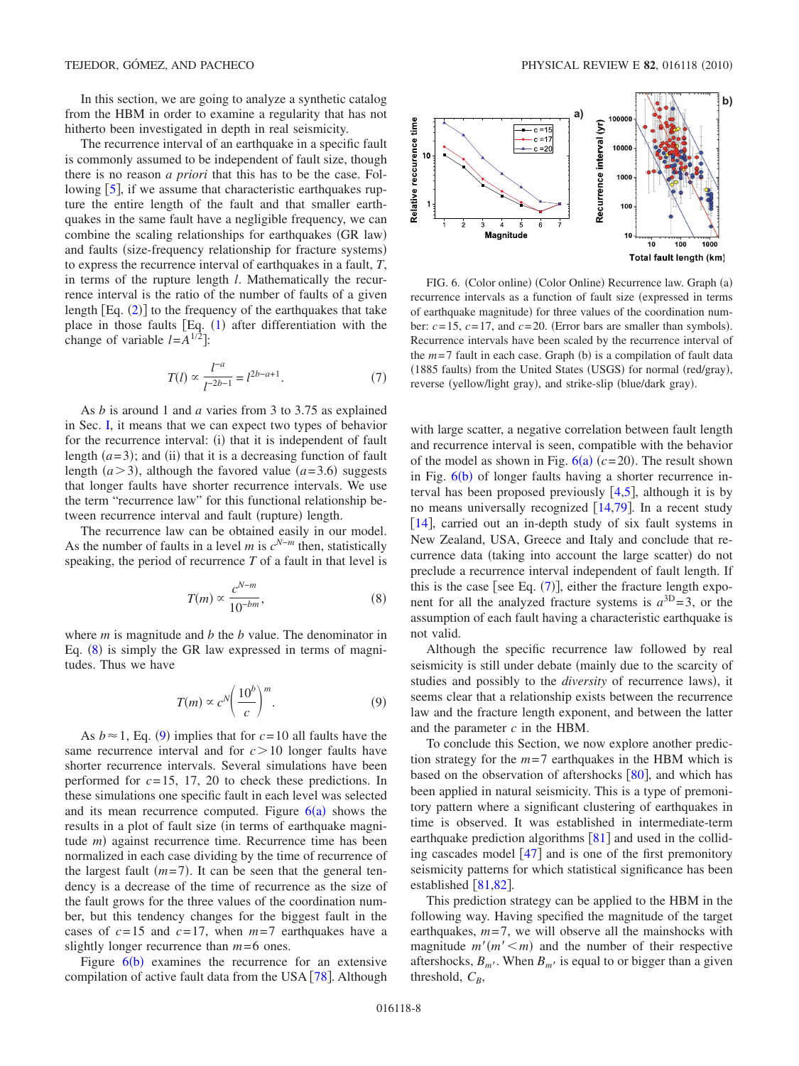In this section, we are going to analyze a synthetic catalog from the HBM in order to examine a regularity that has not hitherto been investigated in depth in real seismicity.

The recurrence interval of an earthquake in a specific fault is commonly assumed to be independent of fault size, though there is no reason *a priori* that this has to be the case. Following  $\lceil 5 \rceil$  $\lceil 5 \rceil$  $\lceil 5 \rceil$ , if we assume that characteristic earthquakes rupture the entire length of the fault and that smaller earthquakes in the same fault have a negligible frequency, we can combine the scaling relationships for earthquakes (GR law) and faults (size-frequency relationship for fracture systems) to express the recurrence interval of earthquakes in a fault, *T*, in terms of the rupture length *l*. Mathematically the recurrence interval is the ratio of the number of faults of a given length  $[Eq. (2)]$  $[Eq. (2)]$  $[Eq. (2)]$  to the frequency of the earthquakes that take place in those faults  $[Eq. (1)$  $[Eq. (1)$  $[Eq. (1)$  after differentiation with the change of variable  $l = A^{1/2}$ :

$$
T(l) \propto \frac{l^{-a}}{l^{-2b-1}} = l^{2b-a+1}.
$$
 (7)

<span id="page-7-3"></span>As *b* is around 1 and *a* varies from 3 to 3.75 as explained in Sec. [I,](#page-0-3) it means that we can expect two types of behavior for the recurrence interval: (i) that it is independent of fault length  $(a=3)$ ; and (ii) that it is a decreasing function of fault length  $(a > 3)$ , although the favored value  $(a = 3.6)$  suggests that longer faults have shorter recurrence intervals. We use the term "recurrence law" for this functional relationship between recurrence interval and fault (rupture) length.

The recurrence law can be obtained easily in our model. As the number of faults in a level *m* is *c<sup>N</sup>*−*<sup>m</sup>* then, statistically speaking, the period of recurrence *T* of a fault in that level is

$$
T(m) \propto \frac{c^{N-m}}{10^{-bm}},\tag{8}
$$

<span id="page-7-0"></span>where *m* is magnitude and *b* the *b* value. The denominator in Eq. ([8](#page-7-0)) is simply the GR law expressed in terms of magnitudes. Thus we have

$$
T(m) \propto c^N \left(\frac{10^b}{c}\right)^m.
$$
 (9)

<span id="page-7-1"></span>As  $b \approx 1$ , Eq. ([9](#page-7-1)) implies that for  $c = 10$  all faults have the same recurrence interval and for  $c > 10$  longer faults have shorter recurrence intervals. Several simulations have been performed for *c*=15, 17, 20 to check these predictions. In these simulations one specific fault in each level was selected and its mean recurrence computed. Figure  $6(a)$  $6(a)$  shows the results in a plot of fault size (in terms of earthquake magnitude *m*) against recurrence time. Recurrence time has been normalized in each case dividing by the time of recurrence of the largest fault  $(m=7)$ . It can be seen that the general tendency is a decrease of the time of recurrence as the size of the fault grows for the three values of the coordination number, but this tendency changes for the biggest fault in the cases of  $c=15$  and  $c=17$ , when  $m=7$  earthquakes have a slightly longer recurrence than *m*=6 ones.

Figure  $6(b)$  $6(b)$  examines the recurrence for an extensive compilation of active fault data from the USA  $[78]$  $[78]$  $[78]$ . Although

<span id="page-7-2"></span>

FIG. 6. (Color online) (Color Online) Recurrence law. Graph (a) recurrence intervals as a function of fault size (expressed in terms of earthquake magnitude) for three values of the coordination number:  $c = 15$ ,  $c = 17$ , and  $c = 20$ . (Error bars are smaller than symbols). Recurrence intervals have been scaled by the recurrence interval of the  $m=7$  fault in each case. Graph (b) is a compilation of fault data (1885 faults) from the United States (USGS) for normal (red/gray), reverse (yellow/light gray), and strike-slip (blue/dark gray).

with large scatter, a negative correlation between fault length and recurrence interval is seen, compatible with the behavior of the model as shown in Fig.  $6(a)$  $6(a)$  ( $c=20$ ). The result shown in Fig.  $6(b)$  $6(b)$  of longer faults having a shorter recurrence interval has been proposed previously  $[4,5]$  $[4,5]$  $[4,5]$  $[4,5]$ , although it is by no means universally recognized  $[14,79]$  $[14,79]$  $[14,79]$  $[14,79]$ . In a recent study [[14](#page-9-5)], carried out an in-depth study of six fault systems in New Zealand, USA, Greece and Italy and conclude that recurrence data (taking into account the large scatter) do not preclude a recurrence interval independent of fault length. If this is the case [see Eq.  $(7)$  $(7)$  $(7)$ ], either the fracture length exponent for all the analyzed fracture systems is  $a^{3D} = 3$ , or the assumption of each fault having a characteristic earthquake is not valid.

Although the specific recurrence law followed by real seismicity is still under debate (mainly due to the scarcity of studies and possibly to the *diversity* of recurrence laws), it seems clear that a relationship exists between the recurrence law and the fracture length exponent, and between the latter and the parameter *c* in the HBM.

To conclude this Section, we now explore another prediction strategy for the *m*=7 earthquakes in the HBM which is based on the observation of aftershocks  $\lceil 80 \rceil$  $\lceil 80 \rceil$  $\lceil 80 \rceil$ , and which has been applied in natural seismicity. This is a type of premonitory pattern where a significant clustering of earthquakes in time is observed. It was established in intermediate-term earthquake prediction algorithms  $\lceil 81 \rceil$  $\lceil 81 \rceil$  $\lceil 81 \rceil$  and used in the colliding cascades model  $\left[47\right]$  $\left[47\right]$  $\left[47\right]$  and is one of the first premonitory seismicity patterns for which statistical significance has been established  $\lceil 81, 82 \rceil$  $\lceil 81, 82 \rceil$  $\lceil 81, 82 \rceil$ .

This prediction strategy can be applied to the HBM in the following way. Having specified the magnitude of the target earthquakes,  $m=7$ , we will observe all the mainshocks with magnitude  $m'(m' \le m)$  and the number of their respective aftershocks,  $B_{m'}$ . When  $B_{m'}$  is equal to or bigger than a given threshold,  $C_B$ ,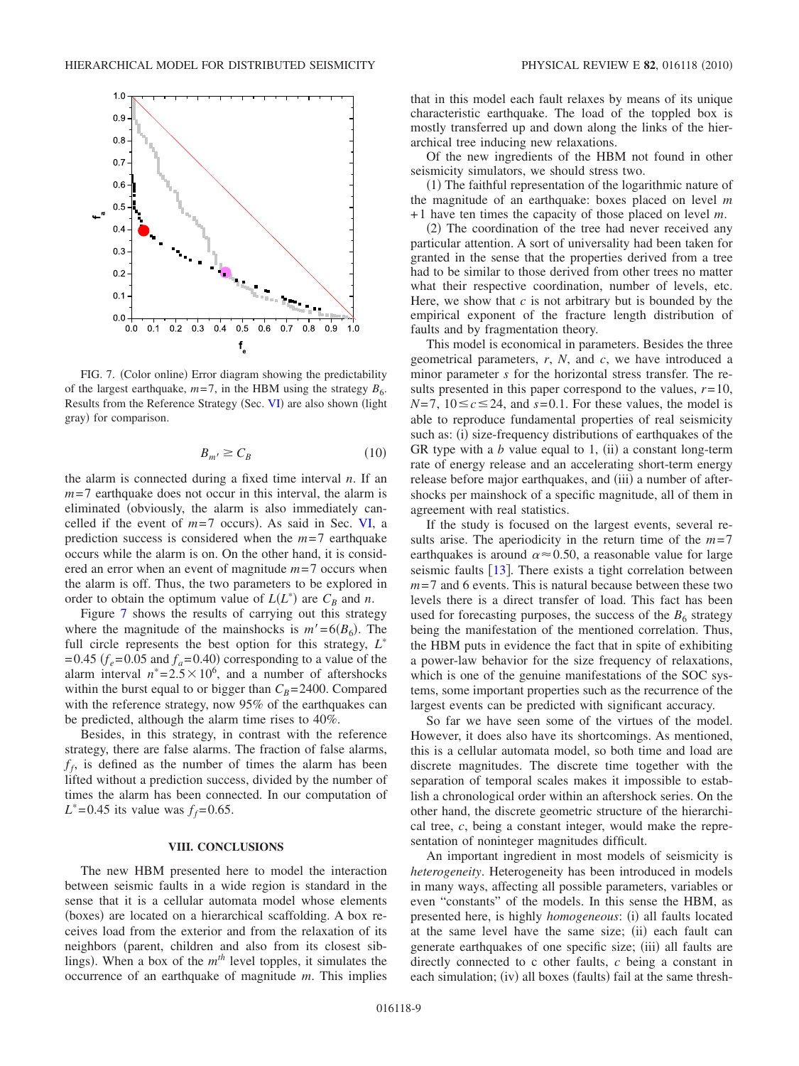<span id="page-8-1"></span>

FIG. 7. (Color online) Error diagram showing the predictability of the largest earthquake,  $m=7$ , in the HBM using the strategy  $B_6$ . Results from the Reference Strategy (Sec. [VI](#page-6-0)) are also shown (light gray) for comparison.

$$
B_{m'} \ge C_B \tag{10}
$$

the alarm is connected during a fixed time interval *n*. If an *m*=7 earthquake does not occur in this interval, the alarm is eliminated obviously, the alarm is also immediately cancelled if the event of  $m=7$  occurs). As said in Sec. [VI,](#page-6-0) a prediction success is considered when the *m*=7 earthquake occurs while the alarm is on. On the other hand, it is considered an error when an event of magnitude *m*=7 occurs when the alarm is off. Thus, the two parameters to be explored in order to obtain the optimum value of  $L(L^*)$  are  $C_B$  and *n*.

Figure [7](#page-8-1) shows the results of carrying out this strategy where the magnitude of the mainshocks is  $m' = 6(B_6)$ . The full circle represents the best option for this strategy, *L*  $=0.45$  ( $f_e$ =0.05 and  $f_a$ =0.40) corresponding to a value of the alarm interval  $n^*=2.5\times10^6$ , and a number of aftershocks within the burst equal to or bigger than  $C_B$ =2400. Compared with the reference strategy, now 95% of the earthquakes can be predicted, although the alarm time rises to 40%.

Besides, in this strategy, in contrast with the reference strategy, there are false alarms. The fraction of false alarms,  $f_f$ , is defined as the number of times the alarm has been lifted without a prediction success, divided by the number of times the alarm has been connected. In our computation of  $L^* = 0.45$  its value was  $f_f = 0.65$ .

## **VIII. CONCLUSIONS**

<span id="page-8-0"></span>The new HBM presented here to model the interaction between seismic faults in a wide region is standard in the sense that it is a cellular automata model whose elements (boxes) are located on a hierarchical scaffolding. A box receives load from the exterior and from the relaxation of its neighbors (parent, children and also from its closest siblings). When a box of the  $m<sup>th</sup>$  level topples, it simulates the occurrence of an earthquake of magnitude *m*. This implies that in this model each fault relaxes by means of its unique characteristic earthquake. The load of the toppled box is mostly transferred up and down along the links of the hierarchical tree inducing new relaxations.

Of the new ingredients of the HBM not found in other seismicity simulators, we should stress two.

(1) The faithful representation of the logarithmic nature of the magnitude of an earthquake: boxes placed on level *m* +1 have ten times the capacity of those placed on level *m*.

(2) The coordination of the tree had never received any particular attention. A sort of universality had been taken for granted in the sense that the properties derived from a tree had to be similar to those derived from other trees no matter what their respective coordination, number of levels, etc. Here, we show that  $c$  is not arbitrary but is bounded by the empirical exponent of the fracture length distribution of faults and by fragmentation theory.

This model is economical in parameters. Besides the three geometrical parameters, *r*, *N*, and *c*, we have introduced a minor parameter *s* for the horizontal stress transfer. The results presented in this paper correspond to the values,  $r=10$ ,  $N=7$ ,  $10 \le c \le 24$ , and  $s=0.1$ . For these values, the model is able to reproduce fundamental properties of real seismicity such as: (i) size-frequency distributions of earthquakes of the GR type with a  $b$  value equal to 1, (ii) a constant long-term rate of energy release and an accelerating short-term energy release before major earthquakes, and (iii) a number of aftershocks per mainshock of a specific magnitude, all of them in agreement with real statistics.

If the study is focused on the largest events, several results arise. The aperiodicity in the return time of the  $m=7$ earthquakes is around  $\alpha \approx 0.50$ , a reasonable value for large seismic faults  $\lceil 13 \rceil$  $\lceil 13 \rceil$  $\lceil 13 \rceil$ . There exists a tight correlation between *m*=7 and 6 events. This is natural because between these two levels there is a direct transfer of load. This fact has been used for forecasting purposes, the success of the  $B<sub>6</sub>$  strategy being the manifestation of the mentioned correlation. Thus, the HBM puts in evidence the fact that in spite of exhibiting a power-law behavior for the size frequency of relaxations, which is one of the genuine manifestations of the SOC systems, some important properties such as the recurrence of the largest events can be predicted with significant accuracy.

So far we have seen some of the virtues of the model. However, it does also have its shortcomings. As mentioned, this is a cellular automata model, so both time and load are discrete magnitudes. The discrete time together with the separation of temporal scales makes it impossible to establish a chronological order within an aftershock series. On the other hand, the discrete geometric structure of the hierarchical tree, *c*, being a constant integer, would make the representation of noninteger magnitudes difficult.

An important ingredient in most models of seismicity is *heterogeneity*. Heterogeneity has been introduced in models in many ways, affecting all possible parameters, variables or even "constants" of the models. In this sense the HBM, as presented here, is highly *homogeneous*: (i) all faults located at the same level have the same size; (ii) each fault can generate earthquakes of one specific size; (iii) all faults are directly connected to c other faults, *c* being a constant in each simulation; (iv) all boxes (faults) fail at the same thresh-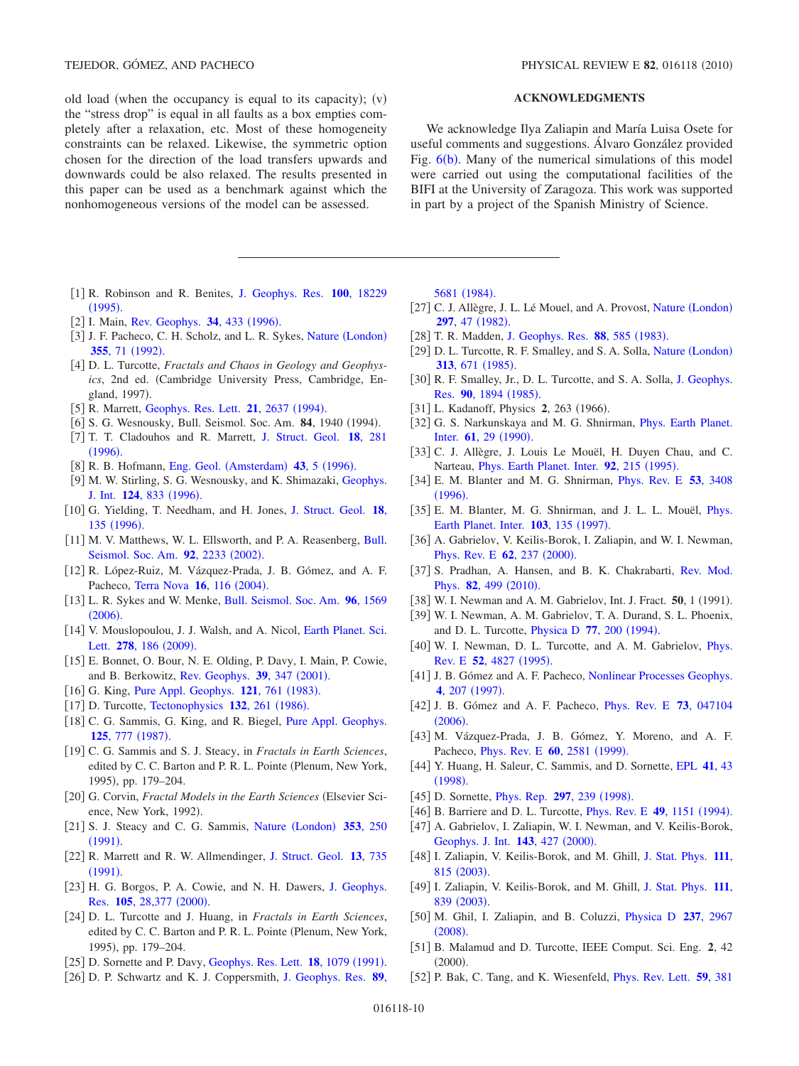old load (when the occupancy is equal to its capacity);  $(v)$ the "stress drop" is equal in all faults as a box empties completely after a relaxation, etc. Most of these homogeneity constraints can be relaxed. Likewise, the symmetric option chosen for the direction of the load transfers upwards and downwards could be also relaxed. The results presented in this paper can be used as a benchmark against which the nonhomogeneous versions of the model can be assessed.

- <span id="page-9-0"></span>1 R. Robinson and R. Benites, [J. Geophys. Res.](http://dx.doi.org/10.1029/95JB01569) **100**, 18229  $(1995).$  $(1995).$  $(1995).$
- <span id="page-9-1"></span>[2] I. Main, [Rev. Geophys.](http://dx.doi.org/10.1029/96RG02808) **34**, 433 (1996).
- <span id="page-9-2"></span>[3] J. F. Pacheco, C. H. Scholz, and L. R. Sykes, Nature ([London](http://dx.doi.org/10.1038/355071a0)) **355**, 71 ([1992](http://dx.doi.org/10.1038/355071a0)).
- <span id="page-9-3"></span>4 D. L. Turcotte, *Fractals and Chaos in Geology and Geophysics*, 2nd ed. Cambridge University Press, Cambridge, England, 1997).
- <span id="page-9-4"></span>[5] R. Marrett, [Geophys. Res. Lett.](http://dx.doi.org/10.1029/94GL02408) **21**, 2637 (1994).
- [6] S. G. Wesnousky, Bull. Seismol. Soc. Am. **84**, 1940 (1994).
- 7 T. T. Cladouhos and R. Marrett, [J. Struct. Geol.](http://dx.doi.org/10.1016/S0191-8141(96)80050-2) **18**, 281  $(1996).$  $(1996).$  $(1996).$
- [8] R. B. Hofmann, Eng. Geol. ([Amsterdam](http://dx.doi.org/10.1016/0013-7952(95)00085-2)) **43**, 5 (1996).
- [9] M. W. Stirling, S. G. Wesnousky, and K. Shimazaki, [Geophys.](http://dx.doi.org/10.1111/j.1365-246X.1996.tb05641.x) [J. Int.](http://dx.doi.org/10.1111/j.1365-246X.1996.tb05641.x) **124**, 833 (1996).
- 10 G. Yielding, T. Needham, and H. Jones, [J. Struct. Geol.](http://dx.doi.org/10.1016/S0191-8141(96)80039-3) **18**, 135 ([1996](http://dx.doi.org/10.1016/S0191-8141(96)80039-3)).
- [11] M. V. Matthews, W. L. Ellsworth, and P. A. Reasenberg, [Bull.](http://dx.doi.org/10.1785/0120010267) [Seismol. Soc. Am.](http://dx.doi.org/10.1785/0120010267) **92**, 2233 (2002).
- 12 R. López-Ruiz, M. Vázquez-Prada, J. B. Gómez, and A. F. Pacheco, [Terra Nova](http://dx.doi.org/10.1111/j.1365-3121.2004.00538.x) 16, 116 (2004).
- <span id="page-9-34"></span>13 L. R. Sykes and W. Menke, [Bull. Seismol. Soc. Am.](http://dx.doi.org/10.1785/0120050083) **96**, 1569  $(2006).$  $(2006).$  $(2006).$
- <span id="page-9-5"></span>[14] V. Mouslopoulou, J. J. Walsh, and A. Nicol, [Earth Planet. Sci.](http://dx.doi.org/10.1016/j.epsl.2008.11.031) Lett. **278**[, 186](http://dx.doi.org/10.1016/j.epsl.2008.11.031) (2009).
- <span id="page-9-6"></span>15 E. Bonnet, O. Bour, N. E. Olding, P. Davy, I. Main, P. Cowie, and B. Berkowitz, [Rev. Geophys.](http://dx.doi.org/10.1029/1999RG000074) 39, 347 (2001).
- <span id="page-9-7"></span>[16] G. King, [Pure Appl. Geophys.](http://dx.doi.org/10.1007/BF02590182) 121, 761 (1983).
- <span id="page-9-9"></span>[17] D. Turcotte, [Tectonophysics](http://dx.doi.org/10.1016/0040-1951(86)90036-3) **132**, 261 (1986).
- <span id="page-9-11"></span>[18] C. G. Sammis, G. King, and R. Biegel, [Pure Appl. Geophys.](http://dx.doi.org/10.1007/BF00878033) **125**[, 777](http://dx.doi.org/10.1007/BF00878033) (1987).
- <span id="page-9-8"></span>19 C. G. Sammis and S. J. Steacy, in *Fractals in Earth Sciences*, edited by C. C. Barton and P. R. L. Pointe (Plenum, New York, 1995), pp. 179-204.
- <span id="page-9-10"></span>[20] G. Corvin, *Fractal Models in the Earth Sciences* (Elsevier Science, New York, 1992).
- <span id="page-9-12"></span>[21] S. J. Steacy and C. G. Sammis, Nature ([London](http://dx.doi.org/10.1038/353250a0)) 353, 250  $(1991).$  $(1991).$  $(1991).$
- <span id="page-9-13"></span>22 R. Marrett and R. W. Allmendinger, [J. Struct. Geol.](http://dx.doi.org/10.1016/0191-8141(91)90034-G) **13**, 735  $(1991).$  $(1991).$  $(1991).$
- <span id="page-9-14"></span>[23] H. G. Borgos, P. A. Cowie, and N. H. Dawers, [J. Geophys.](http://dx.doi.org/10.1029/2000JB900260) Res. 105[, 28,377](http://dx.doi.org/10.1029/2000JB900260) (2000).
- <span id="page-9-15"></span>24 D. L. Turcotte and J. Huang, in *Fractals in Earth Sciences*, edited by C. C. Barton and P. R. L. Pointe (Plenum, New York, 1995), pp. 179-204.
- <span id="page-9-16"></span>[25] D. Sornette and P. Davy, [Geophys. Res. Lett.](http://dx.doi.org/10.1029/91GL01054) **18**, 1079 (1991).
- <span id="page-9-17"></span>26 D. P. Schwartz and K. J. Coppersmith, [J. Geophys. Res.](http://dx.doi.org/10.1029/JB089iB07p05681) **89**,

TEJEDOR, GÓMEZ, AND PACHECO **PHYSICAL REVIEW E 82**, 016118 (2010)

## **ACKNOWLEDGMENTS**

We acknowledge Ilya Zaliapin and María Luisa Osete for useful comments and suggestions. Álvaro González provided Fig.  $6(b)$  $6(b)$ . Many of the numerical simulations of this model were carried out using the computational facilities of the BIFI at the University of Zaragoza. This work was supported in part by a project of the Spanish Ministry of Science.

[5681](http://dx.doi.org/10.1029/JB089iB07p05681) (1984).

- <span id="page-9-18"></span>[27] C. J. Allègre, J. L. Lé Mouel, and A. Provost, Nature ([London](http://dx.doi.org/10.1038/297047a0)) **297**, 47 ([1982](http://dx.doi.org/10.1038/297047a0)).
- [28] T. R. Madden, [J. Geophys. Res.](http://dx.doi.org/10.1029/JB088iB01p00585) 88, 585 (1983).
- <span id="page-9-25"></span>[29] D. L. Turcotte, R. F. Smalley, and S. A. Solla, Nature ([London](http://dx.doi.org/10.1038/313671a0)) **313**[, 671](http://dx.doi.org/10.1038/313671a0) (1985).
- <span id="page-9-19"></span>[30] R. F. Smalley, Jr., D. L. Turcotte, and S. A. Solla, [J. Geophys.](http://dx.doi.org/10.1029/JB090iB02p01894) Res. 90[, 1894](http://dx.doi.org/10.1029/JB090iB02p01894) (1985).
- <span id="page-9-20"></span>[31] L. Kadanoff, Physics **2**, 263 (1966).
- <span id="page-9-21"></span>[32] G. S. Narkunskaya and M. G. Shnirman, *[Phys. Earth Planet.](http://dx.doi.org/10.1016/0031-9201(90)90092-C)* [Inter.](http://dx.doi.org/10.1016/0031-9201(90)90092-C) **61**, 29 (1990).
- [33] C. J. Allègre, J. Louis Le Mouël, H. Duyen Chau, and C. Narteau, *[Phys. Earth Planet. Inter.](http://dx.doi.org/10.1016/0031-9201(95)03033-0)* **92**, 215 (1995).
- <span id="page-9-23"></span>34 E. M. Blanter and M. G. Shnirman, [Phys. Rev. E](http://dx.doi.org/10.1103/PhysRevE.53.3408) **53**, 3408  $(1996).$  $(1996).$  $(1996).$
- <span id="page-9-22"></span>[35] E. M. Blanter, M. G. Shnirman, and J. L. L. Mouël, *[Phys.](http://dx.doi.org/10.1016/S0031-9201(97)00063-0)* [Earth Planet. Inter.](http://dx.doi.org/10.1016/S0031-9201(97)00063-0) **103**, 135 (1997).
- <span id="page-9-24"></span>[36] A. Gabrielov, V. Keilis-Borok, I. Zaliapin, and W. I. Newman, [Phys. Rev. E](http://dx.doi.org/10.1103/PhysRevE.62.237) **62**, 237 (2000).
- <span id="page-9-26"></span>[37] S. Pradhan, A. Hansen, and B. K. Chakrabarti, [Rev. Mod.](http://dx.doi.org/10.1103/RevModPhys.82.499) [Phys.](http://dx.doi.org/10.1103/RevModPhys.82.499) **82**, 499 (2010).
- [38] W. I. Newman and A. M. Gabrielov, Int. J. Fract. **50**, 1 (1991).
- 39 W. I. Newman, A. M. Gabrielov, T. A. Durand, S. L. Phoenix, and D. L. Turcotte, *[Physica D](http://dx.doi.org/10.1016/0167-2789(94)90134-1) 77, 200 (1994)*.
- [40] W. I. Newman, D. L. Turcotte, and A. M. Gabrielov, *[Phys.](http://dx.doi.org/10.1103/PhysRevE.52.4827)* [Rev. E](http://dx.doi.org/10.1103/PhysRevE.52.4827) 52, 4827 (1995).
- [41] J. B. Gómez and A. F. Pacheco, [Nonlinear Processes Geophys.](http://dx.doi.org/10.5194/npg-4-207-1997) 4[, 207](http://dx.doi.org/10.5194/npg-4-207-1997) (1997).
- 42 J. B. Gómez and A. F. Pacheco, [Phys. Rev. E](http://dx.doi.org/10.1103/PhysRevE.73.047104) **73**, 047104  $(2006).$  $(2006).$  $(2006).$
- [43] M. Vázquez-Prada, J. B. Gómez, Y. Moreno, and A. F. Pacheco, *[Phys. Rev. E](http://dx.doi.org/10.1103/PhysRevE.60.2581)* **60**, 2581 (1999).
- <span id="page-9-27"></span>44 Y. Huang, H. Saleur, C. Sammis, and D. Sornette, [EPL](http://dx.doi.org/10.1209/epl/i1998-00113-x) **41**, 43  $(1998).$  $(1998).$  $(1998).$
- <span id="page-9-28"></span>[45] D. Sornette, *[Phys. Rep.](http://dx.doi.org/10.1016/S0370-1573(97)00076-8)* **297**, 239 (1998).
- <span id="page-9-29"></span>[46] B. Barriere and D. L. Turcotte, *[Phys. Rev. E](http://dx.doi.org/10.1103/PhysRevE.49.1151)* **49**, 1151 (1994).
- <span id="page-9-30"></span>[47] A. Gabrielov, I. Zaliapin, W. I. Newman, and V. Keilis-Borok, [Geophys. J. Int.](http://dx.doi.org/10.1046/j.1365-246X.2000.01237.x) 143, 427 (2000).
- [48] I. Zaliapin, V. Keilis-Borok, and M. Ghill, [J. Stat. Phys.](http://dx.doi.org/10.1023/A:1022850215752) 111, 815 ([2003](http://dx.doi.org/10.1023/A:1022850215752)).
- 49 I. Zaliapin, V. Keilis-Borok, and M. Ghill, [J. Stat. Phys.](http://dx.doi.org/10.1023/A:1022802432590) **111**, 839 ([2003](http://dx.doi.org/10.1023/A:1022802432590)).
- <span id="page-9-31"></span>50 M. Ghil, I. Zaliapin, and B. Coluzzi, [Physica D](http://dx.doi.org/10.1016/j.physd.2008.07.006) **237**, 2967  $(2008).$  $(2008).$  $(2008).$
- <span id="page-9-32"></span>51 B. Malamud and D. Turcotte, IEEE Comput. Sci. Eng. **2**, 42  $(2000).$
- <span id="page-9-33"></span>52 P. Bak, C. Tang, and K. Wiesenfeld, [Phys. Rev. Lett.](http://dx.doi.org/10.1103/PhysRevLett.59.381) **59**, 381